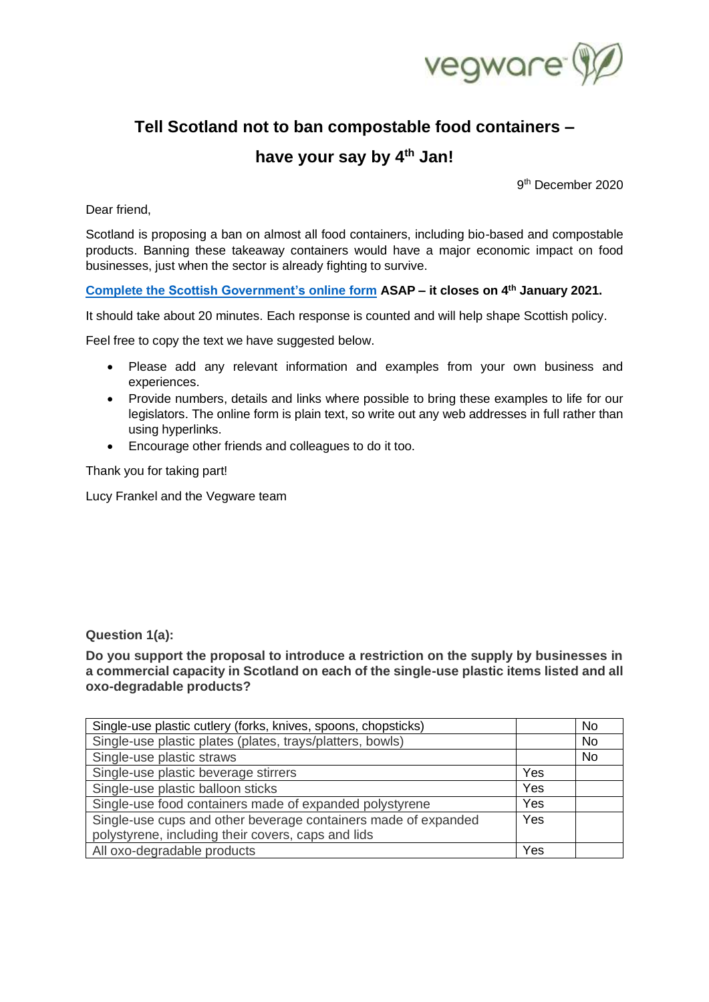

# **Tell Scotland not to ban compostable food containers –**

# **have your say by 4th Jan!**

9<sup>th</sup> December 2020

Dear friend,

Scotland is proposing a ban on almost all food containers, including bio-based and compostable products. Banning these takeaway containers would have a major economic impact on food businesses, just when the sector is already fighting to survive.

# **[Complete the Scottish Government's online form](https://consult.gov.scot/zero-waste-delivery/introducing-market-restrictions-on-single-use-plas/) ASAP – it closes on 4 th January 2021.**

It should take about 20 minutes. Each response is counted and will help shape Scottish policy.

Feel free to copy the text we have suggested below.

- Please add any relevant information and examples from your own business and experiences.
- Provide numbers, details and links where possible to bring these examples to life for our legislators. The online form is plain text, so write out any web addresses in full rather than using hyperlinks.
- Encourage other friends and colleagues to do it too.

Thank you for taking part!

Lucy Frankel and the Vegware team

# **Question 1(a):**

**Do you support the proposal to introduce a restriction on the supply by businesses in a commercial capacity in Scotland on each of the single-use plastic items listed and all oxo-degradable products?**

| Single-use plastic cutlery (forks, knives, spoons, chopsticks) |     | No        |
|----------------------------------------------------------------|-----|-----------|
| Single-use plastic plates (plates, trays/platters, bowls)      |     | <b>No</b> |
| Single-use plastic straws                                      |     | No        |
| Single-use plastic beverage stirrers                           | Yes |           |
| Single-use plastic balloon sticks                              | Yes |           |
| Single-use food containers made of expanded polystyrene        | Yes |           |
| Single-use cups and other beverage containers made of expanded | Yes |           |
| polystyrene, including their covers, caps and lids             |     |           |
| All oxo-degradable products                                    | Yes |           |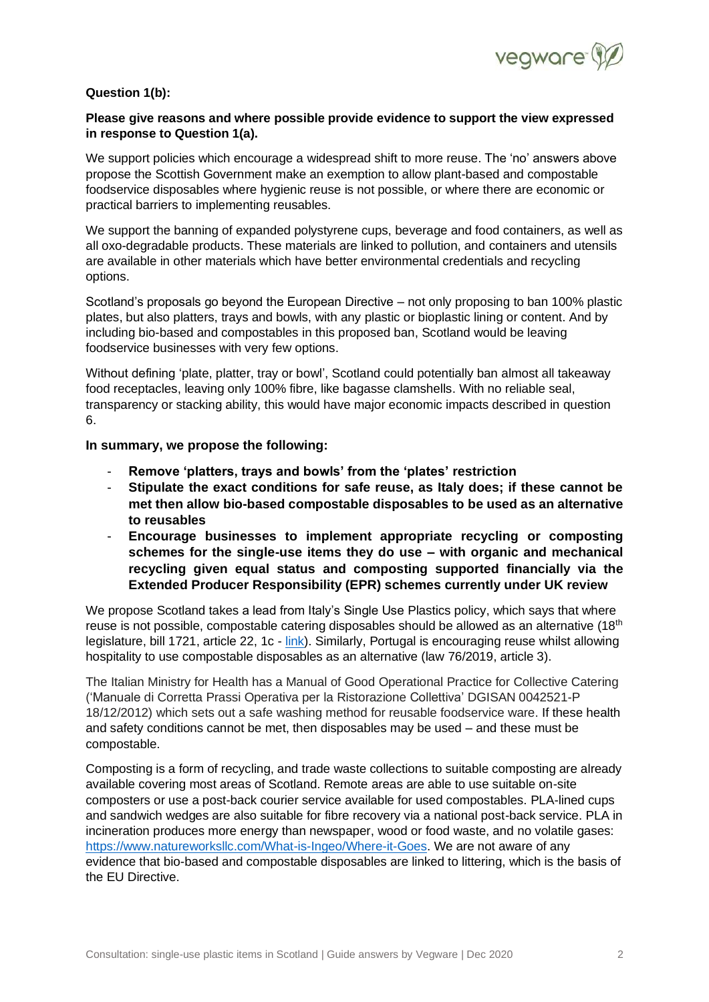

# **Question 1(b):**

# **Please give reasons and where possible provide evidence to support the view expressed in response to Question 1(a).**

We support policies which encourage a widespread shift to more reuse. The 'no' answers above propose the Scottish Government make an exemption to allow plant-based and compostable foodservice disposables where hygienic reuse is not possible, or where there are economic or practical barriers to implementing reusables.

We support the banning of expanded polystyrene cups, beverage and food containers, as well as all oxo-degradable products. These materials are linked to pollution, and containers and utensils are available in other materials which have better environmental credentials and recycling options.

Scotland's proposals go beyond the European Directive – not only proposing to ban 100% plastic plates, but also platters, trays and bowls, with any plastic or bioplastic lining or content. And by including bio-based and compostables in this proposed ban, Scotland would be leaving foodservice businesses with very few options.

Without defining 'plate, platter, tray or bowl', Scotland could potentially ban almost all takeaway food receptacles, leaving only 100% fibre, like bagasse clamshells. With no reliable seal, transparency or stacking ability, this would have major economic impacts described in question 6.

#### **In summary, we propose the following:**

- **Remove 'platters, trays and bowls' from the 'plates' restriction**
- **Stipulate the exact conditions for safe reuse, as Italy does; if these cannot be met then allow bio-based compostable disposables to be used as an alternative to reusables**
- **Encourage businesses to implement appropriate recycling or composting schemes for the single-use items they do use – with organic and mechanical recycling given equal status and composting supported financially via the Extended Producer Responsibility (EPR) schemes currently under UK review**

We propose Scotland takes a lead from Italy's Single Use Plastics policy, which says that where reuse is not possible, compostable catering disposables should be allowed as an alternative (18<sup>th</sup>) legislature, bill 1721, article 22, 1c - [link\)](http://www.senato.it/japp/bgt/showdoc/18/DDLMESS/0/1179126/index.html?part=ddlmess_ddlmess1-articolato_articolato1). Similarly, Portugal is encouraging reuse whilst allowing hospitality to use compostable disposables as an alternative (law 76/2019, article 3).

The Italian Ministry for Health has a Manual of Good Operational Practice for Collective Catering ('Manuale di Corretta Prassi Operativa per la Ristorazione Collettiva' DGISAN 0042521-P 18/12/2012) which sets out a safe washing method for reusable foodservice ware. If these health and safety conditions cannot be met, then disposables may be used – and these must be compostable.

Composting is a form of recycling, and trade waste collections to suitable composting are already available covering most areas of Scotland. Remote areas are able to use suitable on-site composters or use a post-back courier service available for used compostables. PLA-lined cups and sandwich wedges are also suitable for fibre recovery via a national post-back service. PLA in incineration produces more energy than newspaper, wood or food waste, and no volatile gases: [https://www.natureworksllc.com/What-is-Ingeo/Where-it-Goes.](https://www.natureworksllc.com/What-is-Ingeo/Where-it-Goes) We are not aware of any evidence that bio-based and compostable disposables are linked to littering, which is the basis of the EU Directive.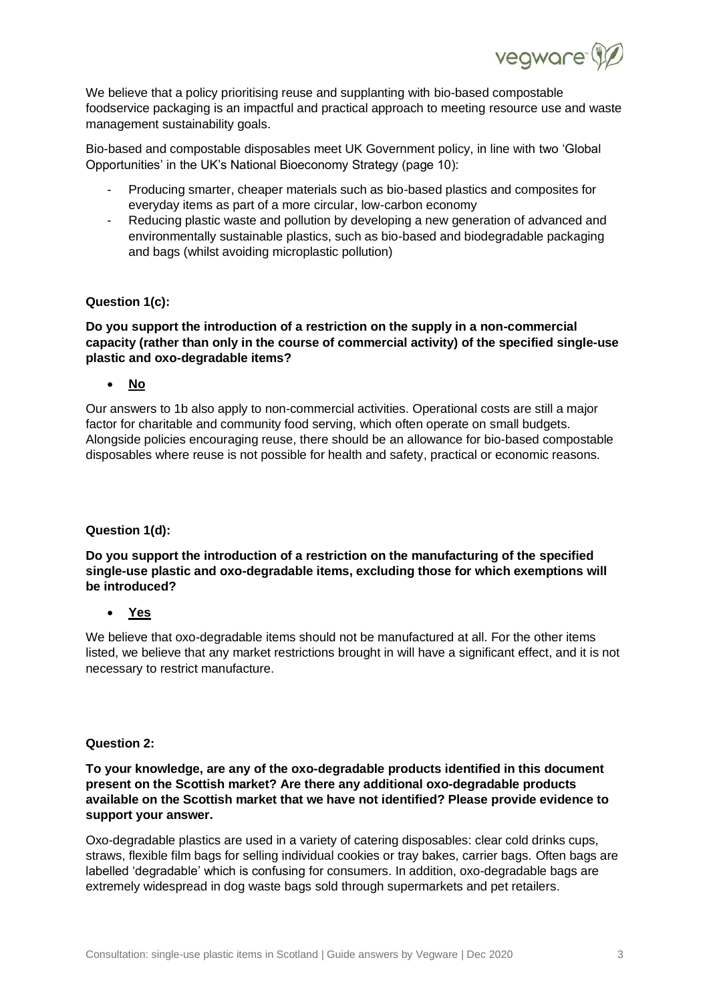

We believe that a policy prioritising reuse and supplanting with bio-based compostable foodservice packaging is an impactful and practical approach to meeting resource use and waste management sustainability goals.

Bio-based and compostable disposables meet UK Government policy, in line with two 'Global Opportunities' in the UK's National Bioeconomy Strategy (page 10):

- Producing smarter, cheaper materials such as bio-based plastics and composites for everyday items as part of a more circular, low-carbon economy
- Reducing plastic waste and pollution by developing a new generation of advanced and environmentally sustainable plastics, such as bio-based and biodegradable packaging and bags (whilst avoiding microplastic pollution)

# **Question 1(c):**

# **Do you support the introduction of a restriction on the supply in a non-commercial capacity (rather than only in the course of commercial activity) of the specified single-use plastic and oxo-degradable items?**

• **No**

Our answers to 1b also apply to non-commercial activities. Operational costs are still a major factor for charitable and community food serving, which often operate on small budgets. Alongside policies encouraging reuse, there should be an allowance for bio-based compostable disposables where reuse is not possible for health and safety, practical or economic reasons.

## **Question 1(d):**

**Do you support the introduction of a restriction on the manufacturing of the specified single-use plastic and oxo-degradable items, excluding those for which exemptions will be introduced?**

• **Yes**

We believe that oxo-degradable items should not be manufactured at all. For the other items listed, we believe that any market restrictions brought in will have a significant effect, and it is not necessary to restrict manufacture.

## **Question 2:**

# **To your knowledge, are any of the oxo-degradable products identified in this document present on the Scottish market? Are there any additional oxo-degradable products available on the Scottish market that we have not identified? Please provide evidence to support your answer.**

Oxo-degradable plastics are used in a variety of catering disposables: clear cold drinks cups, straws, flexible film bags for selling individual cookies or tray bakes, carrier bags. Often bags are labelled 'degradable' which is confusing for consumers. In addition, oxo-degradable bags are extremely widespread in dog waste bags sold through supermarkets and pet retailers.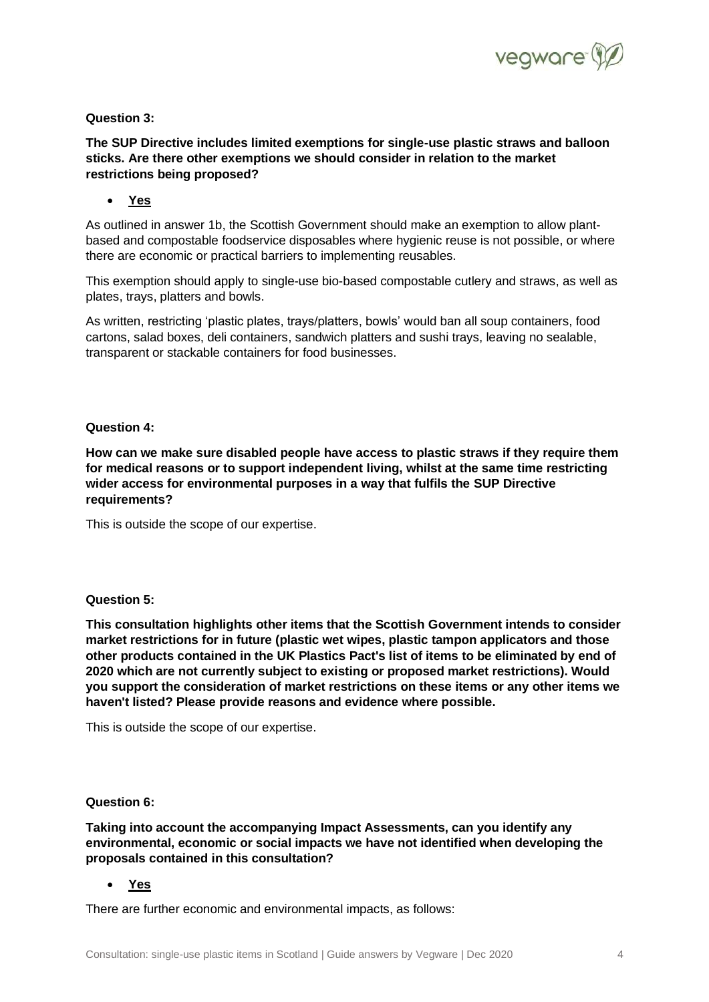

# **Question 3:**

**The SUP Directive includes limited exemptions for single-use plastic straws and balloon sticks. Are there other exemptions we should consider in relation to the market restrictions being proposed?**

• **Yes**

As outlined in answer 1b, the Scottish Government should make an exemption to allow plantbased and compostable foodservice disposables where hygienic reuse is not possible, or where there are economic or practical barriers to implementing reusables.

This exemption should apply to single-use bio-based compostable cutlery and straws, as well as plates, trays, platters and bowls.

As written, restricting 'plastic plates, trays/platters, bowls' would ban all soup containers, food cartons, salad boxes, deli containers, sandwich platters and sushi trays, leaving no sealable, transparent or stackable containers for food businesses.

## **Question 4:**

**How can we make sure disabled people have access to plastic straws if they require them for medical reasons or to support independent living, whilst at the same time restricting wider access for environmental purposes in a way that fulfils the SUP Directive requirements?**

This is outside the scope of our expertise.

## **Question 5:**

**This consultation highlights other items that the Scottish Government intends to consider market restrictions for in future (plastic wet wipes, plastic tampon applicators and those other products contained in the UK Plastics Pact's list of items to be eliminated by end of 2020 which are not currently subject to existing or proposed market restrictions). Would you support the consideration of market restrictions on these items or any other items we haven't listed? Please provide reasons and evidence where possible.**

This is outside the scope of our expertise.

## **Question 6:**

**Taking into account the accompanying Impact Assessments, can you identify any environmental, economic or social impacts we have not identified when developing the proposals contained in this consultation?**

• **Yes**

There are further economic and environmental impacts, as follows: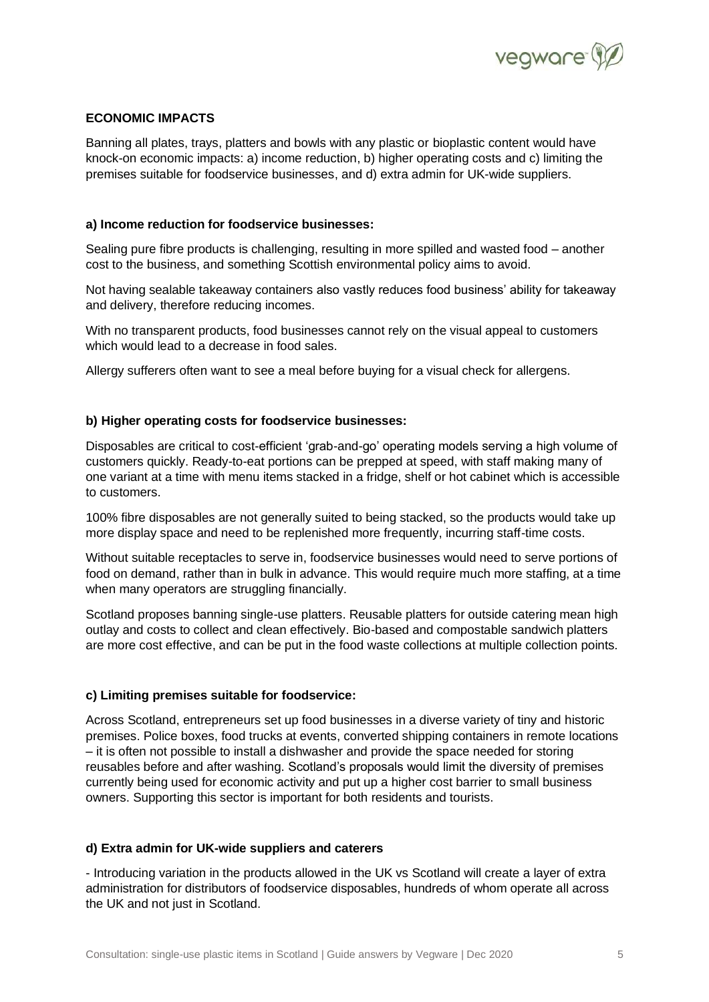

# **ECONOMIC IMPACTS**

Banning all plates, trays, platters and bowls with any plastic or bioplastic content would have knock-on economic impacts: a) income reduction, b) higher operating costs and c) limiting the premises suitable for foodservice businesses, and d) extra admin for UK-wide suppliers.

#### **a) Income reduction for foodservice businesses:**

Sealing pure fibre products is challenging, resulting in more spilled and wasted food – another cost to the business, and something Scottish environmental policy aims to avoid.

Not having sealable takeaway containers also vastly reduces food business' ability for takeaway and delivery, therefore reducing incomes.

With no transparent products, food businesses cannot rely on the visual appeal to customers which would lead to a decrease in food sales.

Allergy sufferers often want to see a meal before buying for a visual check for allergens.

## **b) Higher operating costs for foodservice businesses:**

Disposables are critical to cost-efficient 'grab-and-go' operating models serving a high volume of customers quickly. Ready-to-eat portions can be prepped at speed, with staff making many of one variant at a time with menu items stacked in a fridge, shelf or hot cabinet which is accessible to customers.

100% fibre disposables are not generally suited to being stacked, so the products would take up more display space and need to be replenished more frequently, incurring staff-time costs.

Without suitable receptacles to serve in, foodservice businesses would need to serve portions of food on demand, rather than in bulk in advance. This would require much more staffing, at a time when many operators are struggling financially.

Scotland proposes banning single-use platters. Reusable platters for outside catering mean high outlay and costs to collect and clean effectively. Bio-based and compostable sandwich platters are more cost effective, and can be put in the food waste collections at multiple collection points.

#### **c) Limiting premises suitable for foodservice:**

Across Scotland, entrepreneurs set up food businesses in a diverse variety of tiny and historic premises. Police boxes, food trucks at events, converted shipping containers in remote locations – it is often not possible to install a dishwasher and provide the space needed for storing reusables before and after washing. Scotland's proposals would limit the diversity of premises currently being used for economic activity and put up a higher cost barrier to small business owners. Supporting this sector is important for both residents and tourists.

#### **d) Extra admin for UK-wide suppliers and caterers**

- Introducing variation in the products allowed in the UK vs Scotland will create a layer of extra administration for distributors of foodservice disposables, hundreds of whom operate all across the UK and not just in Scotland.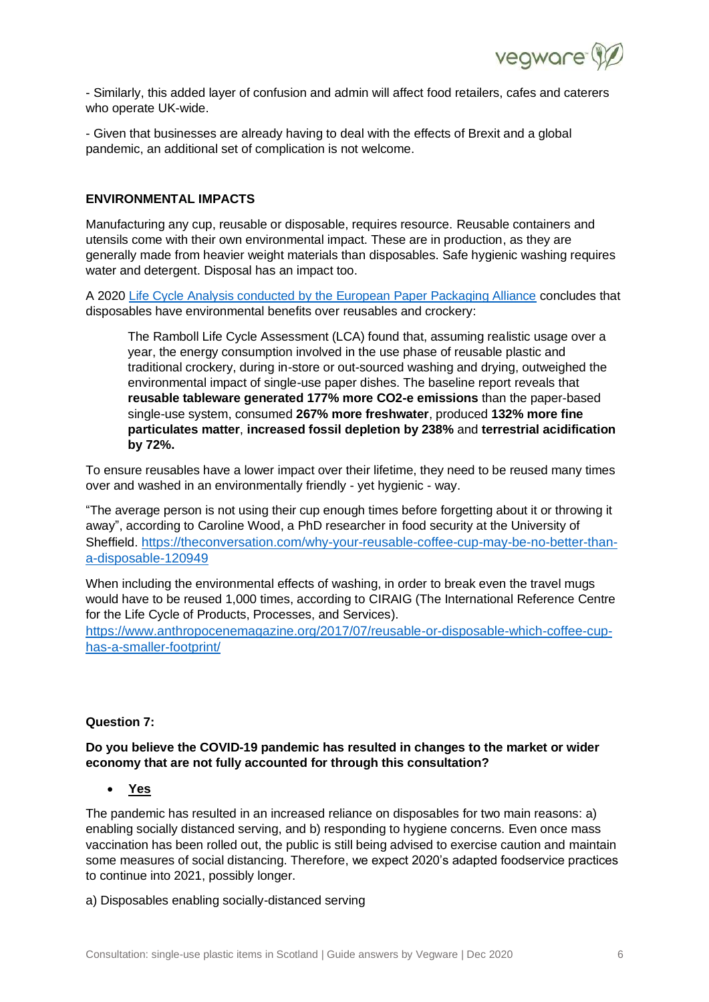

- Similarly, this added layer of confusion and admin will affect food retailers, cafes and caterers who operate UK-wide.

- Given that businesses are already having to deal with the effects of Brexit and a global pandemic, an additional set of complication is not welcome.

# **ENVIRONMENTAL IMPACTS**

Manufacturing any cup, reusable or disposable, requires resource. Reusable containers and utensils come with their own environmental impact. These are in production, as they are generally made from heavier weight materials than disposables. Safe hygienic washing requires water and detergent. Disposal has an impact too.

A 2020 [Life Cycle Analysis conducted by the European Paper Packaging Alliance](https://www.eppa-eu.org/general/press-release-european-paper-packaging-alliance-12-january-2021.html) concludes that disposables have environmental benefits over reusables and crockery:

The Ramboll Life Cycle Assessment (LCA) found that, assuming realistic usage over a year, the energy consumption involved in the use phase of reusable plastic and traditional crockery, during in-store or out-sourced washing and drying, outweighed the environmental impact of single-use paper dishes. The baseline report reveals that **reusable tableware generated 177% more CO2-e emissions** than the paper-based single-use system, consumed **267% more freshwater**, produced **132% more fine particulates matter**, **increased fossil depletion by 238%** and **terrestrial acidification by 72%.**

To ensure reusables have a lower impact over their lifetime, they need to be reused many times over and washed in an environmentally friendly - yet hygienic - way.

"The average person is not using their cup enough times before forgetting about it or throwing it away", according to Caroline Wood, a PhD researcher in food security at the University of Sheffield. [https://theconversation.com/why-your-reusable-coffee-cup-may-be-no-better-than](https://theconversation.com/why-your-reusable-coffee-cup-may-be-no-better-than-a-disposable-120949)[a-disposable-120949](https://theconversation.com/why-your-reusable-coffee-cup-may-be-no-better-than-a-disposable-120949)

When including the environmental effects of washing, in order to break even the travel mugs would have to be reused 1,000 times, according to CIRAIG (The International Reference Centre for the Life Cycle of Products, Processes, and Services).

[https://www.anthropocenemagazine.org/2017/07/reusable-or-disposable-which-coffee-cup](https://www.anthropocenemagazine.org/2017/07/reusable-or-disposable-which-coffee-cup-has-a-smaller-footprint/)[has-a-smaller-footprint/](https://www.anthropocenemagazine.org/2017/07/reusable-or-disposable-which-coffee-cup-has-a-smaller-footprint/)

## **Question 7:**

#### **Do you believe the COVID-19 pandemic has resulted in changes to the market or wider economy that are not fully accounted for through this consultation?**

# • **Yes**

The pandemic has resulted in an increased reliance on disposables for two main reasons: a) enabling socially distanced serving, and b) responding to hygiene concerns. Even once mass vaccination has been rolled out, the public is still being advised to exercise caution and maintain some measures of social distancing. Therefore, we expect 2020's adapted foodservice practices to continue into 2021, possibly longer.

a) Disposables enabling socially-distanced serving